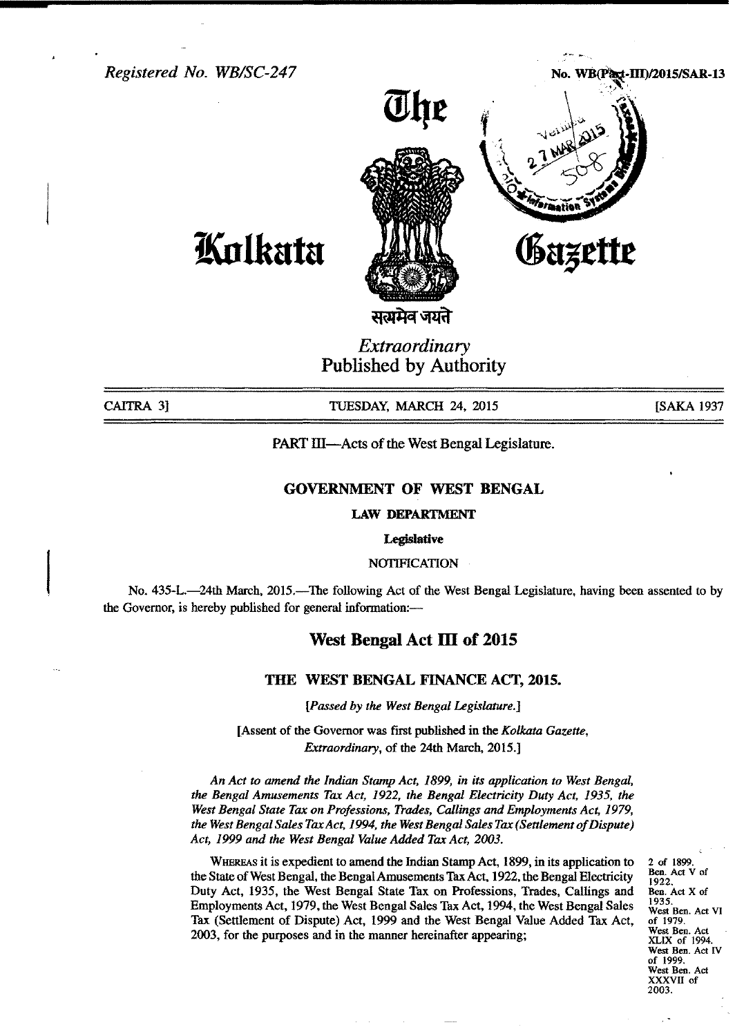*Registered No. WBISC-247*

# No. WB(Part-III)/2015/SAR-1

"".,,~ .••.......



**lfUtlkata**

सत्प्रमेव जयते

*Extraordinary* Published by Authority

CAITRA 3] **TUESDAY, MARCH 24, 2015** [SAKA 1937

PART III—Acts of the West Bengal Legislature.

## GOVERNMENT OF WEST BENGAL

LAW DEPARTMENT

#### **Legislative**

**NOTIFICATION** 

No. 435-L.—24th March, 2015.—The following Act of the West Bengal Legislature, having been assented to by the Governor, is hereby published for general information:-

## West Bengal Act III of 2015

#### THE WEST BENGAL FINANCE ACT, 2015.

*[Passed by the West Bengal Legislature.]*

[Assent of the Governor was first published in the *Kolkata Gazette, Extraordinary,* of the 24th March, 2015.]

*An Act to amend the Indian Stamp Act,* 1899, *in its application to West Bengal, the Bengal Amusements Tax Act,* 1922, *the Bengal Electricity Duty Act,* 1935, *the West Bengal State Tax on Professions, Trades, Callings and Employments Act, 1979, the WestBengal Sales TaxAct,* 1994, *the WestBengal Sales Tax (Settlement of Dispute) Act,* 1999 *and the West Bengal Value Added Tax Act, 2003.*

WHEREAS it is expedient to amend the Indian Stamp Act, 1899, in its application to the State of West Bengal, the Bengal Amusements TaxAct, 1922,the Bengal Electricity Duty Act, 1935, the West Bengal State Tax on Professions, Trades, Callings and Employments Act, 1979, the West Bengal Sales Tax Act, 1994, the West Bengal Sales Tax (Settlement of Dispute) Act, 1999 and the West Bengal Value Added Tax Act, 2003, for the purposes and in the manner hereinafter appearing;

2 of 1899. Ben. Act V of 1922. Ben. Act X of 1935. West Ben. Act VI of 1979. West Ben. Act XLIX of 1994. West Ben. Act IV of 1999. West Ben. Act XXXVII of 2003.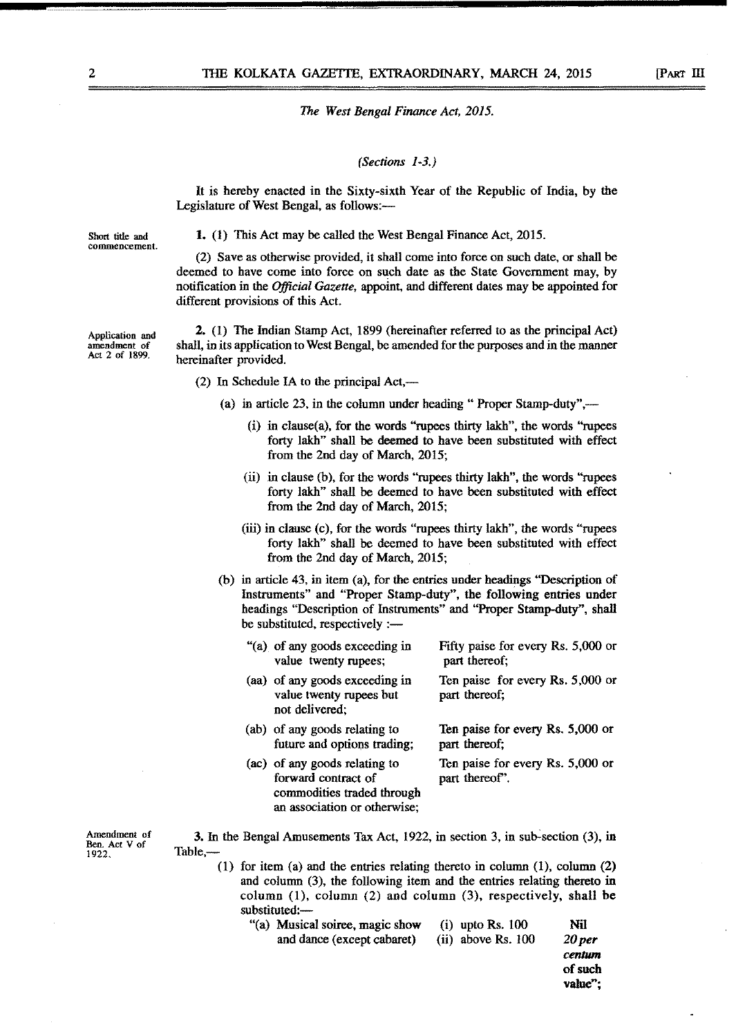#### *(Sections 1-3.)*

It is hereby enacted in the Sixty-sixth Year of the Republic of India, by the Legislature of West Bengal, as follows:-

Short title and commencement. 1. (1) This Act may be called the West Bengal Finance Act, 2015.

(2) Save as otherwise provided, it shall come into force on such date, or shall be deemed to have come into force on such date as the State Government may, by notification in the *Official Gazette,* appoint, and different dates may be appointed for different provisions of this Act.

2. (1) The Indian Stamp Act, 1899 (hereinafter referred to as the principal Act) shall, in its application to West Bengal, be amended for the purposes and in the manner hereinafter provided.

(2) In Schedule IA to the principal  $Act,$ 

- (a) in article 23, in the column under heading " Proper Stamp-duty",—
	- (i) in clause(a), for the words "rupees thirty lakh", the words "rupees forty lakh" shall be deemed to have been substituted with effect from the 2nd day of March, 2015;
	- (ii) in clause (b), for the words "rupees thirty lakh", the words "rupees forty lakh" shall be deemed to have been substituted with effect from the 2nd day of March, 2015;
	- (iii) in clause  $(c)$ , for the words "rupees thirty lakh", the words "rupees forty lakh" shall be deemed to have been substituted with effect from the 2nd day of March, 2015;
- (b) in article 43, in item (a), for the entries under headings "Description of Instruments" and "Proper Stamp-duty", the following entries under headings "Description of Instruments" and "Proper Stamp-duty", shall be substituted, respectively :-

| "(a) of any goods exceeding in<br>value twenty rupees;                      | Fifty paise for every Rs. 5,000 or<br>part thereof; |
|-----------------------------------------------------------------------------|-----------------------------------------------------|
| (aa) of any goods exceeding in<br>value twenty rupees but<br>not delivered; | Ten paise for every Rs. 5,000 or<br>part thereof;   |
| (ab) of any goods relating to<br>future and options trading;                | Ten paise for every Rs. 5,000 or<br>part thereof;   |
| (ac) of any goods relating to                                               | Ten paise for every Rs. 5,000 or                    |

forward contract of commodities traded through an association or otherwise; part thereof".

Amendment of Ben. Act V of 1922.

3. In the Bengal Amusements Tax Act, 1922, in section 3, in sub-section (3), in Table,-

- (1) for item (a) and the entries relating thereto in column (1), column (2) and column (3), the following item and the entries relating thereto in column  $(1)$ , column  $(2)$  and column  $(3)$ , respectively, shall be substituted:-
	- "(a) Musical soiree, magic show (i) upto Rs. 100 Nil and dance (except cabaret) (ii) above Rs. 100 *20 per*

*centum* of such value";

Application and amendment of Act 2 of 1899.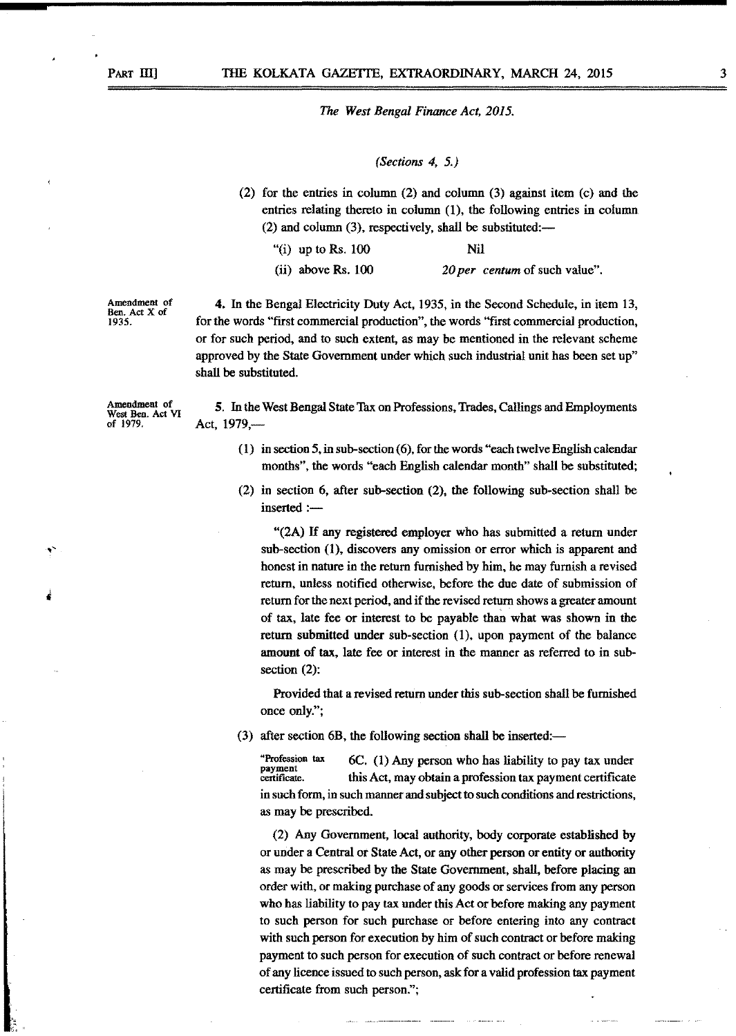## *(Sections* 4, 5.)

(2) for the entries in column (2) and column (3) against item (c) and the entries relating thereto in column (1), the following entries in column  $(2)$  and column  $(3)$ , respectively, shall be substituted:-

| "(i) up to Rs. $100$ | Nil                          |
|----------------------|------------------------------|
| $(ii)$ above Rs. 100 | 20 per centum of such value" |

Amendment of Ben. Act X of 1935.

4. In the Bengal Electricity Duty Act, 1935, in the Second Schedule, in item 13, for the words "ftrst commercial production", the words "ftrst commercial production, or for such period, and to such extent, as may be mentioned in the relevant scheme approved by the State Government under which such industrial unit has been set up" shall be substituted.

Amendment of West Ben. Act VI of 1979.

t.111

5. In the West Bengal State Tax on Professions, Trades, Callings and Employments Act, 1979,-

- (1) in section 5,in sub-section (6), for the words "each twelve English calendar months", the words "each English calendar month" shall be substituted;
- (2) in section 6, after sub-section (2), the following sub-section shall be inserted :-

"(2A) If any registered employer who has submitted a return under sub-section (1), discovers any omission or error which is apparent and honest in nature in the return furnished by him, he may furnish a revised return, unless notifted otherwise, before the due date of submission of return for the next period, and if the revised return shows a greater amount of tax, late fee or interest to be payable than what was shown in the return submitted under sub-section (1), upon payment of the balance amount of tax, late fee or interest in the manner as referred to in subsection (2):

Provided that a revised return under this sub-section shall be furnished once only.";

 $(3)$  after section 6B, the following section shall be inserted:—

"Profession tax payment certificate. 6C. (1) Any person who has liability to pay tax under this Act, may obtain a profession tax payment certiftcate in such form, in such manner and subject to such conditions and restrictions, as may be prescribed.

(2) Any Government, local authority, body corporate established by or under a Central or State Act, or any other person or entity or authority as may be prescribed by the State Government, shall, before placing an order with, or making purchase of any goods or services from any person who has liability to pay tax under this Act or before making any payment to such person for such purchase or before entering into any contract with such person for execution by him of such contract or before making payment to such person for execution of such contract or before renewal of any licence issued to such person, ask for a valid profession tax payment certificate from such person.";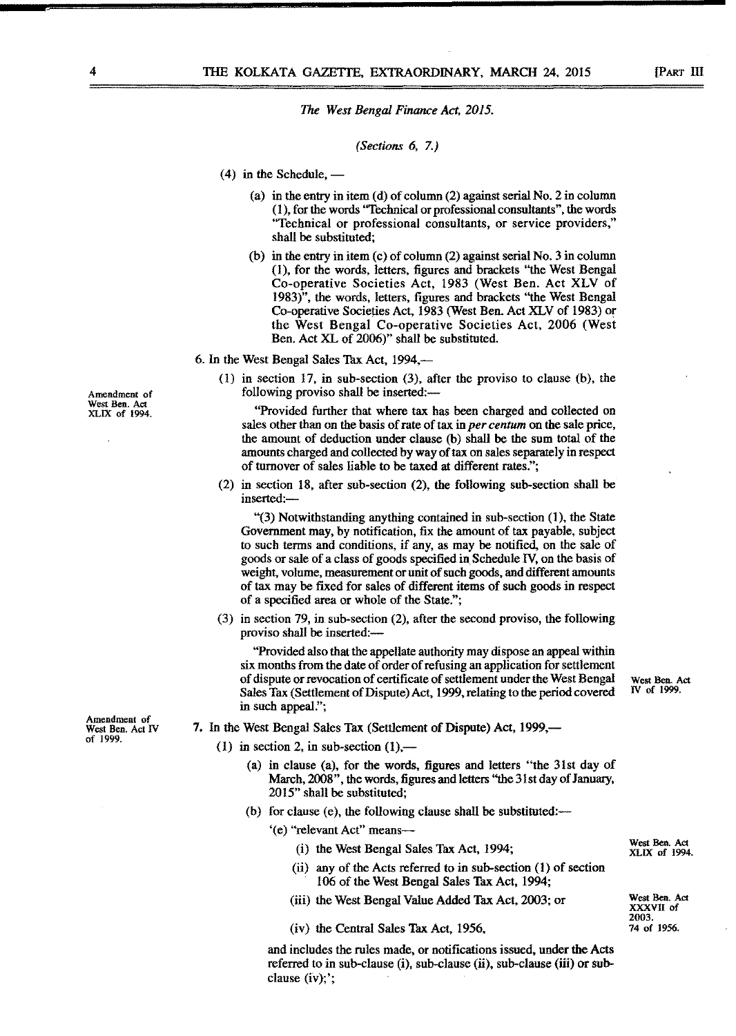#### *(Sections* 6, 7.)

- $(4)$  in the Schedule,  $-$ 
	- (a) in the entry in item (d) of column (2) against serial No. 2 in column (1), for the words ''Technical or professional consultants", the words "Technical or professional consultants, or service providers," shall be substituted;
	- (b) in the entry in item (c) of column (2) against serial No. 3 in column 0), for the words, letters, figures and brackets ''the West Bengal Co-operative Societies Act, 1983 (West Ben. Act XLV of 1983)", the words, letters, figures and brackets "the West Bengal Co-operative Societies Act, 1983 (West Ben. Act XLV of 1983) or the West Bengal Co-operative Societies Act, 2006 (West Ben. Act XL of 2006)" shall be substituted.
- 6. In the West Bengal Sales Tax Act, 1994,-
	- (1) in section 17, in sub-section (3), after the proviso to clause (b), the following proviso shall be inserted:—

"Provided further that where tax has been charged and collected on sales other than on the basis of rate of tax in *per centum* on the sale price, the amount of deduction under clause (b) shall be the sum total of the amounts charged and collected by way of tax on sales separately in respect of turnover of sales liable to be taxed at different rates.";

(2) in section 18, after sub-section (2), the following sub-section shall be inserted:-

"(3) Notwithstanding anything contained in sub-section (1), the State Government may, by notification, fix the amount of tax payable, subject to such terms and conditions, if any, as may be notified, on the sale of goods or sale of a class of goods specified in Schedule IV, on the basis of weight, volume, measurement or unit of such goods, and different amounts of tax may be fixed for sales of different items of such goods in respect of a specified area or whole of the State.";

(3) in section 79, in sub-section (2), after the second proviso, the following proviso shall be inserted:-

"Provided also that the appellate authority may dispose an appeal within six months from the date of order of refusing an application for settlement of dispute or revocation of certificate of settlement under the West Bengal West Ben. Act<br>Sales Tax (Settlement of Dispute) Act, 1999 relating to the period covered IV of 1999. Sales Tax (Settlement of Dispute) Act, 1999, relating to the period covered in such appeal.";

- 7. In the West Bengal Sales Tax (Settlement of Dispute) Act, 1999,—
	- (1) in section 2, in sub-section  $(1)$ ,—
		- (a) in clause (a), for the words, figures and letters "the 31st day of March, 2008", the words, figures and letters "the 31st day of January, 2015" shall be substituted;
		- (b) for clause (e), the following clause shall be substituted:—
			- '(e) "relevant Act" means-
				- (i) the West Bengal Sales Tax Act, 1994; West Ben. Act West Ben. Act
				- (ii) any of the Acts referred to in sub-section (1) of section 106 of the West Bengal Sales Tax Act, 1994;
				- (iii) the West Bengal Value Added Tax Act, 2003; or West Ben. Act

 $(iv)$  the Central Sales Tax Act, 1956,

and includes the rules made, or notifications issued, under the Acts referred to in sub-clause  $(i)$ , sub-clause  $(ii)$ , sub-clause  $(iii)$  or subclause (iv);';

Amendment of West Ben. Act IV of 1999.

Amendment of West Ben. Act XLIX of 1994.

XLIX of 1994.

XXXVII of 2003.<br>74 of 1956.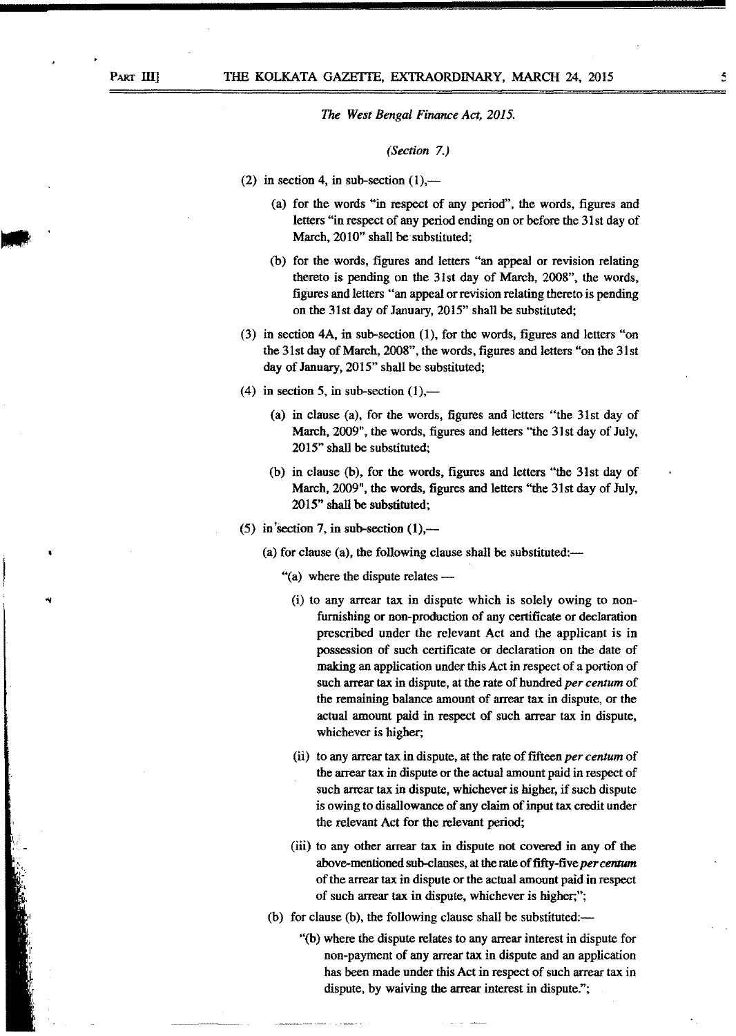## *(Section 7.)*

- (2) in section 4, in sub-section  $(1)$ ,—
	- (a) for the words "in respect of any period", the words, figures and letters "in respect of any period ending on or before the 31st day of March, 2010" shall be substituted;
	- (b) for the words, figures and letters "an appeal or revision relating thereto is pending on the 31st day of March, 200S", the words, figures and letters "an appeal or revision relating thereto is pending on the 31st day of January, 2015" shall be substituted;
- (3) in section 4A, in sub-section (1), for the words, figures and letters "on the 31st day of March, 200S", the words, figures and letters "on the 31st day of January, 2015" shall be substituted;
- (4) in section 5, in sub-section  $(1)$ ,—
	- (a) in clause (a), for the words, figures and letters "the 31st day of March, 2009", the words, figures and letters "the 31st day of July, 2015" shall be substituted;
	- (b) in clause (b), for the words, figures and letters "the 31st day of March, 2009", the words, figures and letters ''the 31st day of July, 2015" shall be substituted;
- (5) in section 7, in sub-section  $(1)$ ,—
	- (a) for clause (a), the following clause shall be substituted: $-$ 
		- "(a) where the dispute relates $-$ 
			- (i) to any arrear tax in dispute which is solely owing to nonfurnishing or non-production of any certificate or declaration prescribed under the relevant Act and the applicant is in possession of such certificate or declaration on the date of making an application under this Act in respect of a portion of such arrear tax in dispute, at the rate of hundred *per centum* of the remaining balance amount of arrear tax in dispute, or the actual amount paid in respect of such arrear tax in dispute, whichever is higher;
			- (ii) to any arrear tax in dispute, at the rate of fifteen *per centum* of the arrear tax in dispute or the actual amount paid in respect of such arrear tax in dispute, whichever is higher, if such dispute is owing to disallowance of any claim of input tax credit under the relevant Act for the relevant period;
			- (iii) to any other arrear tax in dispute not covered in any of the above-mentioned sub-clauses, atthe rate of fifty-five *per centum* of the arrear tax in dispute or the actual amount paid in respect of such arrear tax in dispute, whichever is higher;";
		- (b) for clause (b), the following clause shall be substituted: $-$ 
			- "(b) where the dispute relates to any arrear interest in dispute for non-payment of any arrear tax in dispute and an application has been made under this Act in respect of such arrear tax in dispute, by waiving the arrear interest in dispute.";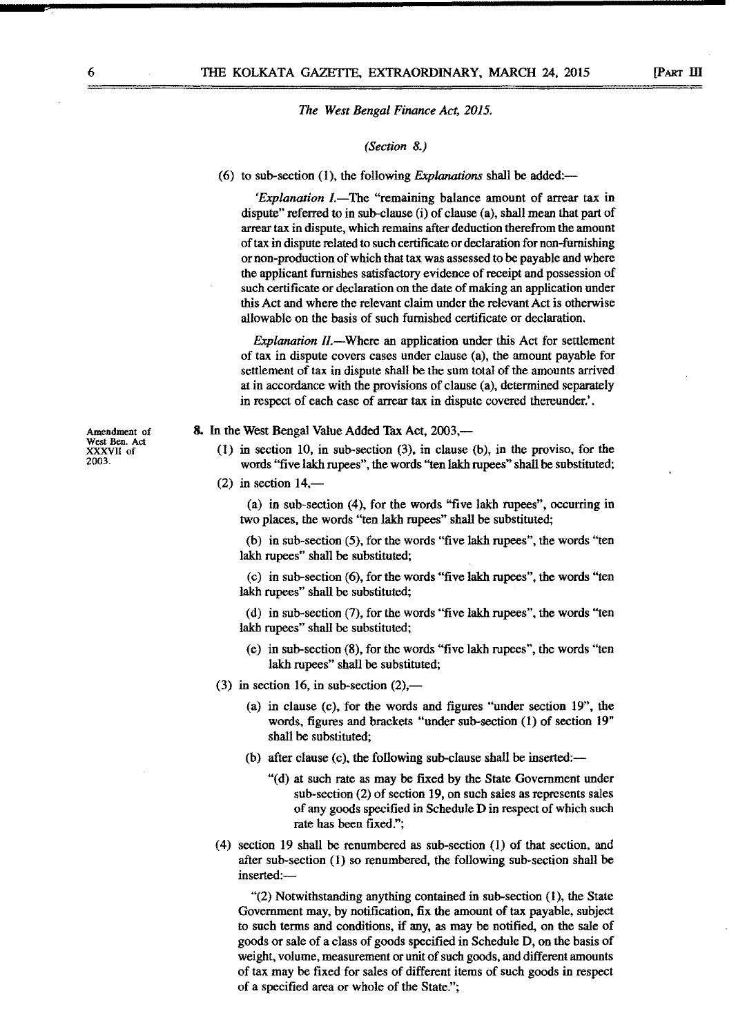#### *(Section* 8.)

(6) to sub-section (1), the following *Explanations* shall be added:-

*'Explanation I.*-The "remaining balance amount of arrear tax in dispute" referred to in sub-clause (i) of clause (a), shall mean that part of arrear tax in dispute, which remains after deduction therefrom the amount of tax in dispute related to such certificate or declaration for non-furnishing or non-production of which that tax was assessed to be payable and where the applicant furnishes satisfactory evidence of receipt and possession of such certificate or declaration on the date of making an application under this Act and where the relevant claim under the relevant Act is otherwise allowable on the basis of such furnished certificate or declaration.

*Explanation II.*—Where an application under this Act for settlement of tax in dispute covers cases under clause (a), the amount payable for settlement of tax in dispute shall be the sum total of the amounts arrived at in accordance with the provisions of clause (a), determined separately in respect of each case of arrear tax in dispute covered thereunder.' .

#### 8. In the West Bengal Value Added Tax Act, 2003,—

- (1) in section 10, in sub-section (3), in clause (b), in the proviso, for the words ''five lakh rupees", the words ''ten lakh rupees" shall be substituted;
- $(2)$  in section 14,-

(a) in sub-section (4), for the words "five lakh rupees", occurring in two places, the words "ten lakh rupees" shall be substituted;

(b) in sub-section (5), for the words "five lakh rupees", the words "ten lakh rupees" shall be substituted;

(c) in sub-section (6), for the words "five lakh rupees", the words "ten lakh rupees" shall be substituted;

(d) in sub-section (7), for the words "five lakh rupees", the words "ten lakh rupees" shall be substituted;

- (e) in sub-section (8), for the words "five lakh rupees", the words "ten lakh rupees" shall be substituted;
- (3) in section 16, in sub-section  $(2)$ ,—
	- (a) in clause (c), for the words and figures "under section 19", the words, figures and brackets "under sub-section (1) of section 19" shall be substituted;
	- (b) after clause  $(c)$ , the following sub-clause shall be inserted:—
		- "(d) at such rate as may be fixed by the State Government under sub-section (2) of section 19, on such sales as represents sales of any goods specified in Schedule D in respect of which such rate has been fixed.";
- (4) section 19 shall be renumbered as sub-section (1) of that section, and after sub-section (1) so renumbered, the following sub-section shall be inserted:-

"(2) Notwithstanding anything contained in sub-section (1), the State Government may, by notification, fix the amount of tax payable, subject to such terms and conditions, if any, as may be notified, on the sale of goods or sale of a class of goods specified in Schedule D, on the basis of weight, volume, measurement or unit of such goods, and different amounts of tax may be fixed for sales of different items of such goods in respect of a specified area or whole of the State.";

Amendment of West Ben. Act<br>XXXVII of<br>2003.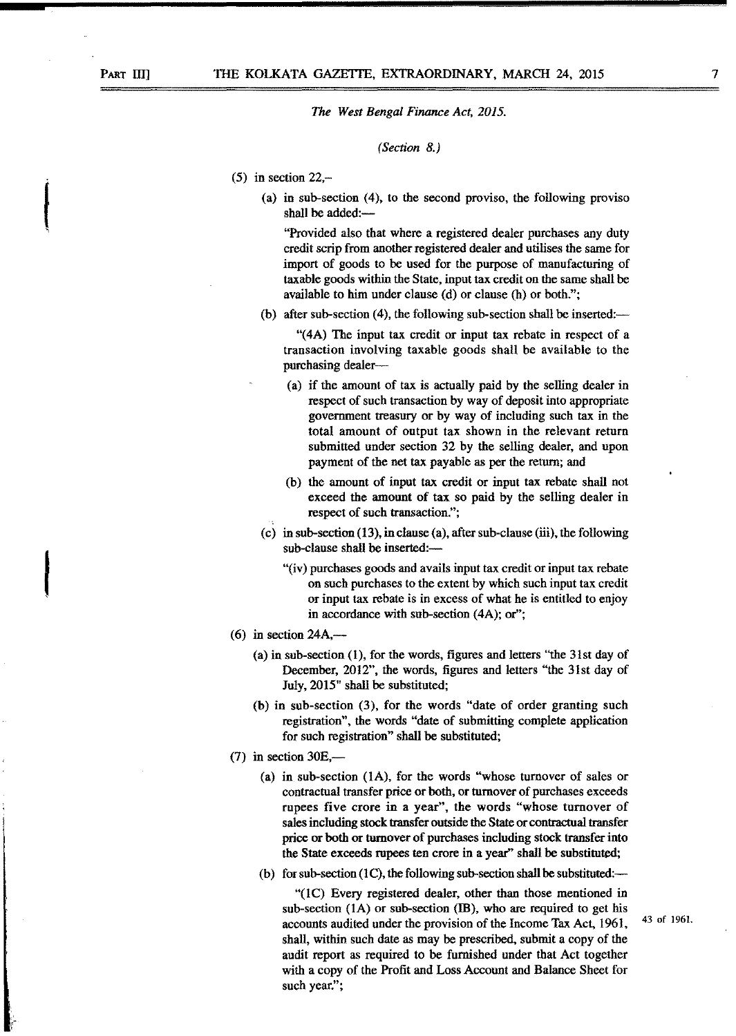#### *(Section 8.)*

- $(5)$  in section 22,-
	- (a) in sub-section (4), to the second proviso, the following proviso shall be added:-

"Provided also that where a registered dealer purchases any duty credit scrip from another registered dealer and utilises the same for import of goods to be used for the purpose of manufacturing of taxable goods within the State, input tax credit on the same shall be available to him under clause (d) or clause (h) or both.";

(b) after sub-section  $(4)$ , the following sub-section shall be inserted:--

"(4A) The input tax credit or input tax rebate in respect of a transaction involving taxable goods shall be available to the purchasing dealer-

- (a) if the amount of tax is actually paid by the selling dealer in respect of such transaction by way of deposit into appropriate government treasury or by way of including such tax in the total amount of output tax shown in the relevant return submitted under section 32 by the selling dealer, and upon payment of the net tax payable as per the return; and
- (b) the amount of input tax credit or input tax rebate shall not exceed the amount of tax so paid by the selling dealer in respect of such transaction.";
- (c) in sub-section (13), in clause (a), after sub-clause (iii), the following sub-clause shall be inserted:-
	- "(iv) purchases goods and avails input tax credit or input tax rebate on such purchases to the extent by which such input tax credit or input tax rebate is in excess of what he is entitled to enjoy in accordance with sub-section (4A); or";
- (6) in section  $24A$ ,
	- (a) in sub-section (1), for the words, figures and letters "the 31st day of December, 2012", the words, figures and letters "the 31st day of July, 2015" shall be substituted;
	- (b) in sub-section (3), for the words "date of order granting such registration", the words "date of submitting complete application for such registration" shall be substituted;
- $(7)$  in section 30E,—
	- (a) in sub-section (1A), for the words "whose turnover of sales or contractual transfer price or both, or turnover of purchases exceeds rupees five crore in a year", the words "whose turnover of sales including stock transfer outside the State or contractual transfer price or both or turnover of purchases including stock transfer into the State exceeds rupees ten crore in a year" shall be substituted;
	- (b) for sub-section (1C), the following sub-section shall be substituted:—

"(1C) Every registered dealer, other than those mentioned in sub-section  $(1A)$  or sub-section  $(IB)$ , who are required to get his accounts audited under the provision of the Income Tax Act, 1961, shall, within such date as may be prescribed, submit a copy of the audit report as required to be furnished under that Act together with a copy of the Profit and Loss Account and Balance Sheet for such year.";

**Internet** 

**I**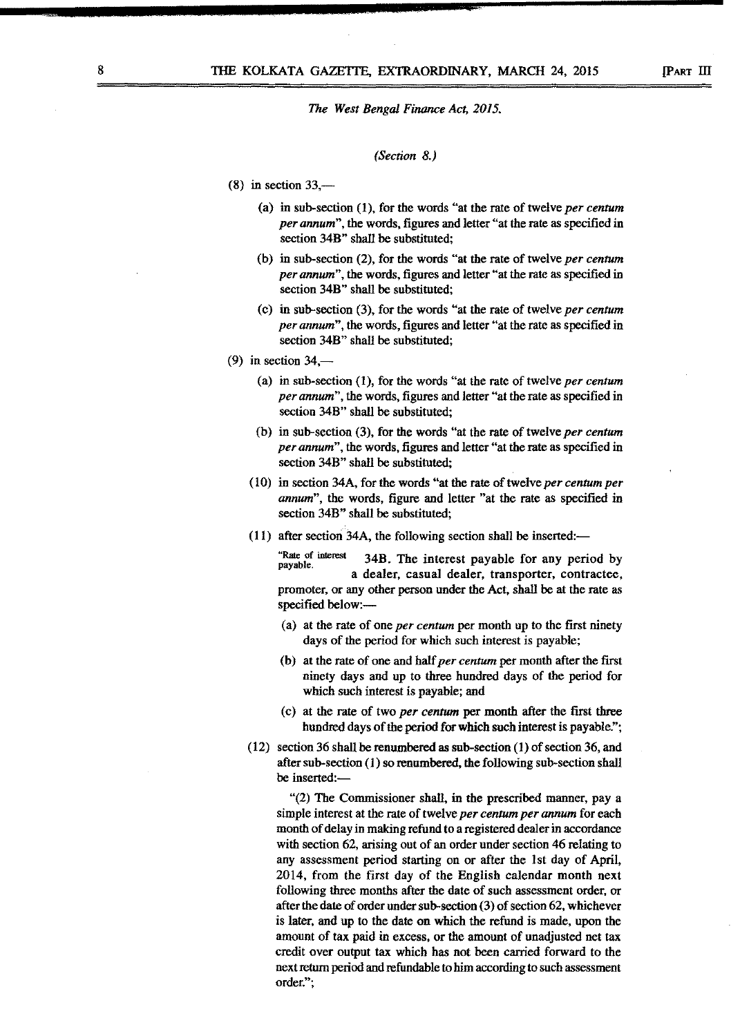#### *(Section 8.)*

- $(8)$  in section 33,—
	- (a) in sub-section (1), for the words "at the rate of twelve *per centum per annum",* the words, figures and letter "at the rate as specified in section 34B" shall be substituted;
	- (b) in sub-section (2), for the words "at the rate of twelve *per centum per annum",* the words, figures and letter "at the rate as specified in section 34B" shall be substituted;
	- (c) in sub-section (3), for the words "at the rate of twelve *per centum per annum",* the words, figures and letter "at the rate as specified in section 34B" shall be substituted;
- (9) in section  $34$ ,—
	- (a) in sub-section (1), for the words "at the rate of twelve *per centum per annum",* the words, figures and letter "at the rate as specified in section 34B" shall be substituted;
	- (b) in sub-section (3), for the words "at the rate of twelve *per centum per annum",* the words, figures and letter "at the rate as specified in section 34B" shall be substituted;
	- (10) in section 34A, for the words "at the rate of twelve *per centum per annum",* the words, figure and letter "at the rate as specified in section 34B" shall be substituted;
	- $(11)$  after section 34A, the following section shall be inserted:—

"Rate of interest 34B. The interest payable for any period by payable. a dealer, casual dealer, transporter, contractee, promoter, or any other person under the Act, shall be at the rate as specified below:-

- (a) at the rate of one *per centum* per month up to the first ninety days of the period for which such interest is payable;
- (b) at the rate of one and half *per centum* per month after the first ninety days and up to three hundred days of the period for which such interest is payable; and
- (c) at the rate of two *per centum* per month after the first three hundred days of the period for which such interest is payable.";
- (12) section 36 shall be renumbered as sub-section (1) of section 36, and after sub-section (1) so renumbered, the following sub-section shall be inserted:-

"(2) The Commissioner shall, in the prescribed manner, pay a simple interest at the rate of twelve *per centum per annum* for each month of delay in making refund to a registered dealer in accordance with section 62, arising out of an order under section 46 relating to any assessment period starting on or after the Ist day of April, 2014, from the first day of the English calendar month next following three months after the date of such assessment order, or after the date of order under sub-section (3) of section 62, whichever is later, and up to the date on which the refund is made, upon the amount of tax paid in excess, or the amount of unadjusted net tax credit over output tax which has not been carried forward to the next return period and refundable to him according to such assessment order.";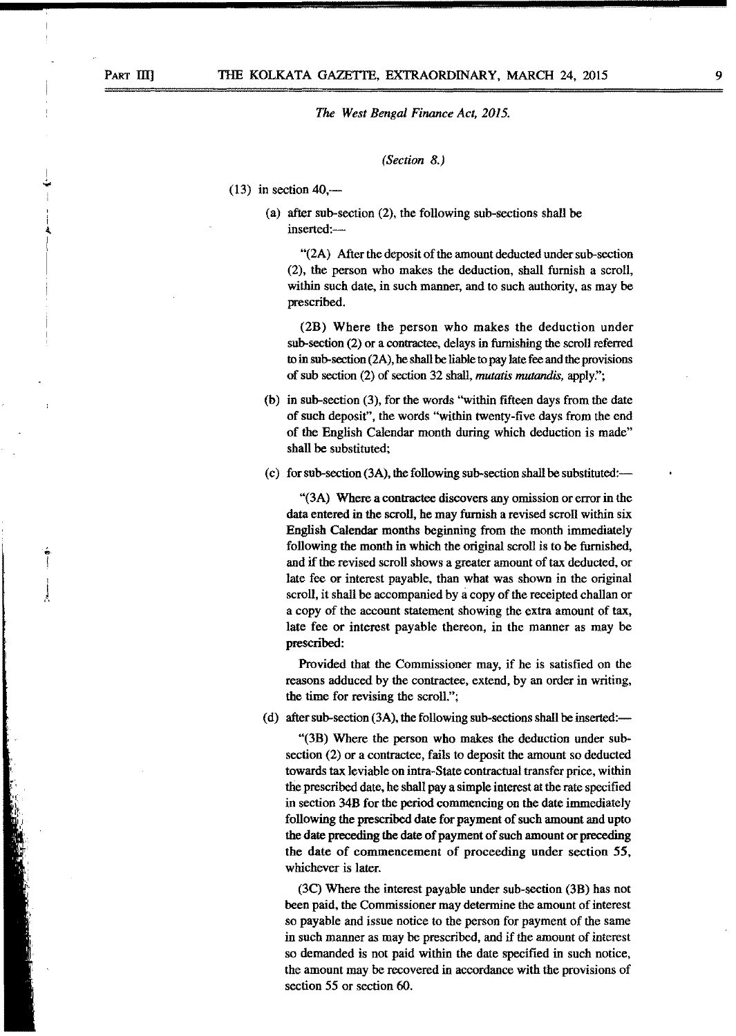*(Section* 8.)

- $(13)$  in section 40,—
	- (a) after sub-section (2), the following sub-sections shall be inserted:-

"(2A) After the deposit of the amount deducted under sub-section (2), the person who makes the deduction, shall furnish a scroll, within such date, in such manner, and to such authority, as may be prescribed.

(2B) Where the person who makes the deduction under sub-section (2) or a contractee, delays in furnishing the scroll referred to in sub-section (2A), he shall be liable to pay late fee and the provisions of sub section (2) of section 32 shall, *mutatis mutandis,* apply:';

- (b) in sub-section (3), for the words "within fifteen days from the date of such deposit", the words "within twenty-five days from the end of the English Calendar month during which deduction is made" shall be substituted;
- (c) for sub-section  $(3A)$ , the following sub-section shall be substituted:---

"(3A) Where a contractee discovers any omission or error in the data entered in the scroll, he may furnish a revised scroll within six English Calendar months beginning from the month immediately following the month in which the original scroll is to be furnished, and if the revised scroll shows a greater amount of tax deducted, or late fee or interest payable, than what was shown in the original scroll, it shall be accompanied by a copy of the receipted challan or a copy of the account statement showing the extra amount of tax, late fee or interest payable thereon, in the manner as may be prescribed:

Provided that the Commissioner may, if he is satisfied on the reasons adduced by the contractee, extend, by an order in writing, the time for revising the scroll.";

(d) after sub-section  $(3A)$ , the following sub-sections shall be inserted:—

"(3B) Where the person who makes the deduction under sub $section (2)$  or a contractee, fails to deposit the amount so deducted towards tax leviable on intra-State contractual transfer price, within the prescribed date, he shall pay a simple interest at the rate specified in section 34B for the period commencing on the date immediately following the prescribed date for payment of such amount and upto the date preceding the date of payment of such amount or preceding the date of commencement of proceeding under section 55, whichever is later.

(3C) Where the interest payable under sub-section (3B) has not been paid, the Commissioner may determine the amount of interest so payable and issue notice to the person for payment of the same in such manner as may be prescribed, and if the amount of interest so demanded is not paid within the date specified in such notice, the amount may be recovered in accordance with the provisions of section 55 or section 60.

j ..•.

> e-I

J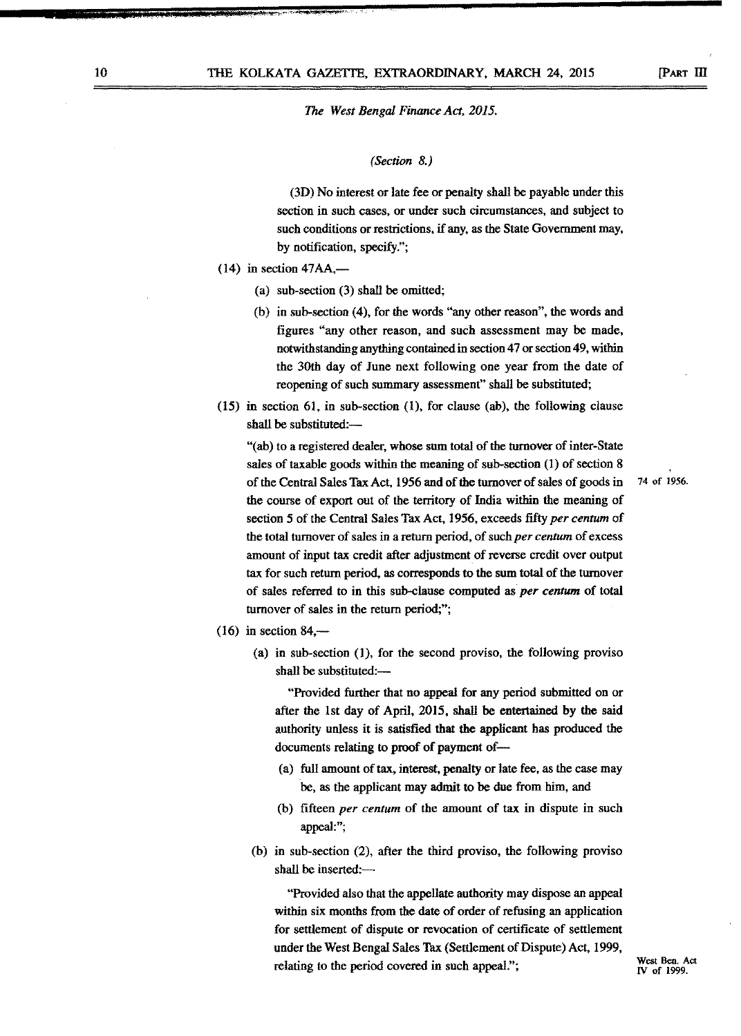#### *(Section* 8.)

(3D) No interest or late fee or penalty shall be payable under this section in such cases, or under such circumstances, and subject to such conditions or restrictions, if any, as the State Government may, by notification, specify.";

- $(14)$  in section 47AA,—
	- (a) sub-section (3) shall be omitted;
	- (b) in sub-section (4), for the words "any other reason", the words and figures "any other reason, and such assessment may be made, notwithstanding anything contained in section 47 or section 49, within the 30th day of June next following one year from the date of reopening of such summary assessment" shall be substituted;
- (15) in section 61, in sub-section (1), for clause (ab), the following clause shall be substituted:-

"(ab) to a registered dealer, whose sum total of the turnover of inter-State sales of taxable goods within the meaning of sub-section (1) of section 8 of the Central Sales Tax Act, 1956 and of the turnover of sales of goods in <sup>74</sup> of 1956. the course of export out of the territory of India within the meaning of section 5 of the Central Sales Tax Act, 1956, exceeds fifty *per centum* of the total turnover of sales in a return period, of such *per centum* of excess amount of input tax credit after adjustment of reverse credit over output tax for such return period, as corresponds to the sum total of the turnover of sales referred to in this sub-clause computed as *per centum* of total turnover of sales in the return period;";

- $(16)$  in section 84,—
	- (a) in sub-section (1), for the second proviso, the following proviso shall be substituted:-

"Provided further that no appeal for any period submitted on or after the 1st day of April, 2015, shall be entertained by the said authority unless it is satisfied that the applicant has produced the documents relating to proof of payment of-

- (a) full amount of tax, interest, penalty or late fee, as the case may be, as the applicant may admit to be due from him, and
- (b) fifteen *per centum* of the amount of tax in dispute in such appeal:";
- (b) in sub-section (2), after the third proviso, the following proviso shall be inserted:-

"Provided also that the appellate authority may dispose an appeal within six months from the date of order of refusing an application for settlement of dispute or revocation of certificate of settlement under the West Bengal Sales Tax (Settlement of Dispute) Act, 1999, relating to the period covered in such appeal."; West Ben. Act West Ben. Act

*N* of 1999.

**a**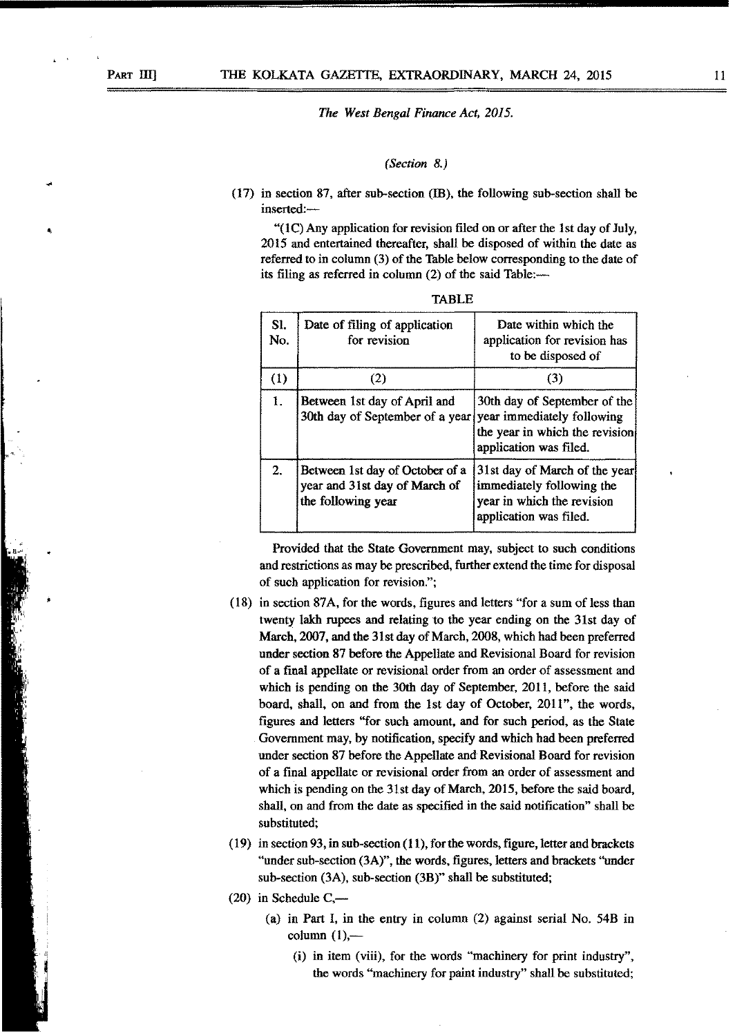$^*$  '

*The West Bengal Finance Act, 2015.*

## *(Section* 8.)

(17) in section 87, after sub-section (ffi), the following sub-section shall be inserted:-

"(1C) Any application for revision filed on or after the 1st day of July, 2015 and entertained thereafter, shall be disposed of within the date as referred to in column (3) of the Table below corresponding to the date of its filing as referred in column (2) of the said Table:-

| S <sub>1</sub><br>No. | Date of filing of application<br>for revision                                              | Date within which the<br>application for revision has<br>to be disposed of                                         |
|-----------------------|--------------------------------------------------------------------------------------------|--------------------------------------------------------------------------------------------------------------------|
| (1)                   | (2)                                                                                        | (3)                                                                                                                |
| 1.                    | Between 1st day of April and<br>30th day of September of a year year immediately following | 30th day of September of the<br>the year in which the revision<br>application was filed.                           |
| 2.                    | Between 1st day of October of a<br>year and 31st day of March of<br>the following year     | 31st day of March of the year<br>immediately following the<br>year in which the revision<br>application was filed. |

TABLE

Provided that the State Government may, subject to such conditions and restrictions as may be prescribed, further extend the time for disposal of such application for revision.";

- (18) in section 87A, for the words, figures and letters "for a sum of less than twenty lakh rupees and relating to the year ending on the 31st day of March, 2007, and the 31st day of March, 2008, which had been preferred under section 87 before the Appellate and Revisional Board for revision of a final appellate or revisional order from an order of assessment and which is pending on the 30th day of September, 2011, before the said board, shall, on and from the 1st day of October, 2011", the words, figures and letters "for such amount, and for such period, as the State Government may, by notification, specify and which had been preferred under section 87 before the Appellate and Revisional Board for revision of a final appellate or revisional order from an order of assessment and which is pending on the 31st day of March, 2015, before the said board, shall, on and from the date as specified in the said notification" shall be substituted;
- (19) in section 93, in sub-section (11), for the words, figure, letter and brackets "under sub-section (3A)", the words, figures, letters and brackets ''under sub-section (3A), sub-section (3B)" shall be substituted;
- $(20)$  in Schedule C,—
	- (a) in Part I, in the entry in column (2) against serial No. 54B in column  $(1)$ ,—
		- (i) in item (viii), for the words "machinery for print industry", the words "machinery for paint industry" shall be substituted;